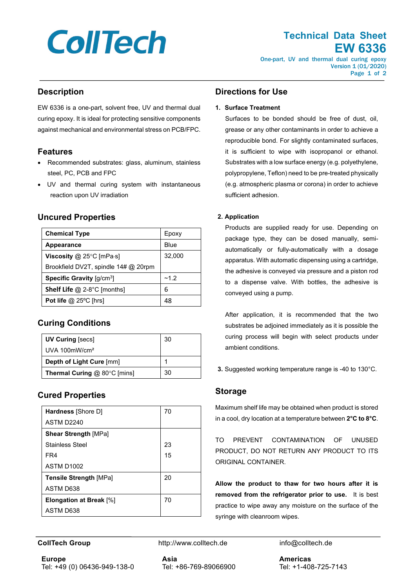# **CollTech**

# **Technical Data Sheet EW 6336**

One-part, UV and thermal dual curing epoxy Version 1 (01/2020) Page 1 of 2

## **Description**

EW 6336 is a one-part, solvent free, UV and thermal dual curing epoxy. It is ideal for protecting sensitive components against mechanical and environmental stress on PCB/FPC.

#### **Features**

- Recommended substrates: glass, aluminum, stainless steel, PC, PCB and FPC
- UV and thermal curing system with instantaneous reaction upon UV irradiation

## **Uncured Properties**

| <b>Chemical Type</b>                       | Epoxy  |
|--------------------------------------------|--------|
| <b>Appearance</b>                          | Blue   |
| Viscosity $@$ 25°C [mPa $\cdot$ s]         | 32,000 |
| Brookfield DV2T, spindle 14# @ 20rpm       |        |
| <b>Specific Gravity [g/cm<sup>3</sup>]</b> | ~1.2   |
| <b>Shelf Life</b> @ 2-8°C [months]         | 6      |
| Pot life $@$ 25°C [hrs]                    | 48     |

# **Curing Conditions**

| <b>UV Curing [secs]</b>             | 30 |
|-------------------------------------|----|
| UVA $100$ mW/cm <sup>2</sup>        |    |
| Depth of Light Cure [mm]            |    |
| <b>Thermal Curing @ 80°C [mins]</b> | 30 |

# **Cured Properties**

| Hardness [Shore D]             | 70 |
|--------------------------------|----|
| ASTM D2240                     |    |
| <b>Shear Strength [MPa]</b>    |    |
| <b>Stainless Steel</b>         | 23 |
| FR4                            | 15 |
| ASTM D1002                     |    |
| <b>Tensile Strength [MPa]</b>  | 20 |
| ASTM D638                      |    |
| <b>Elongation at Break</b> [%] | 70 |
| ASTM D638                      |    |

## **Directions for Use**

#### **1. Surface Treatment**

Surfaces to be bonded should be free of dust, oil, grease or any other contaminants in order to achieve a reproducible bond. For slightly contaminated surfaces, it is sufficient to wipe with isopropanol or ethanol. Substrates with a low surface energy (e.g. polyethylene, polypropylene, Teflon) need to be pre-treated physically (e.g. atmospheric plasma or corona) in order to achieve sufficient adhesion.

#### **2. Application**

Products are supplied ready for use. Depending on package type, they can be dosed manually, semiautomatically or fully-automatically with a dosage apparatus. With automatic dispensing using a cartridge, the adhesive is conveyed via pressure and a piston rod to a dispense valve. With bottles, the adhesive is conveyed using a pump.

After application, it is recommended that the two substrates be adjoined immediately as it is possible the curing process will begin with select products under ambient conditions.

**3.** Suggested working temperature range is -40 to 130°C.

#### **Storage**

Maximum shelf life may be obtained when product is stored in a cool, dry location at a temperature between **2°C to 8°C**.

TO PREVENT CONTAMINATION OF UNUSED PRODUCT, DO NOT RETURN ANY PRODUCT TO ITS ORIGINAL CONTAINER.

**Allow the product to thaw for two hours after it is removed from the refrigerator prior to use.** It is best practice to wipe away any moisture on the surface of the syringe with cleanroom wipes.

**CollTech Group http://www.colltech.de** info@colltech.de

**Europe** Tel: +49 (0) 06436-949-138-0 **Asia** Tel: +86-769-89066900 **Americas** Tel: +1-408-725-7143